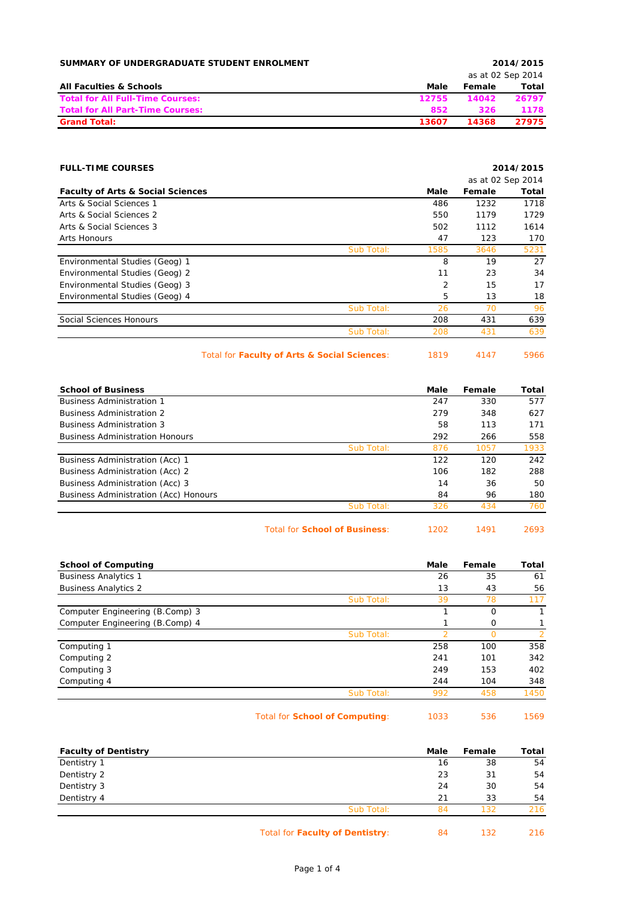| SUMMARY OF UNDERGRADUATE STUDENT ENROLMENT |       |        | 2014/2015         |
|--------------------------------------------|-------|--------|-------------------|
|                                            |       |        | as at 02 Sep 2014 |
| <b>All Faculties &amp; Schools</b>         | Male  | Female | Total             |
| <b>Total for All Full-Time Courses:</b>    | 12755 | 14042  | 26797             |
| <b>Total for All Part-Time Courses:</b>    | 852   | 326    | 1178              |
| <b>Grand Total:</b>                        | 13607 | 14368  | 27975             |

| <b>FULL-TIME COURSES</b>                     |            |      |                   | 2014/2015 |
|----------------------------------------------|------------|------|-------------------|-----------|
|                                              |            |      | as at 02 Sep 2014 |           |
| <b>Faculty of Arts &amp; Social Sciences</b> |            | Male | Female            | Total     |
| Arts & Social Sciences 1                     |            | 486  | 1232              | 1718      |
| Arts & Social Sciences 2                     |            | 550  | 1179              | 1729      |
| Arts & Social Sciences 3                     |            | 502  | 1112              | 1614      |
| Arts Honours                                 |            | 47   | 123               | 170       |
|                                              | Sub Total: | 1585 | 3646              | 5231      |
| Environmental Studies (Geog) 1               |            | 8    | 19                | 27        |
| Environmental Studies (Geog) 2               |            | 11   | 23                | 34        |
| Environmental Studies (Geog) 3               |            | 2    | 15                | 17        |
| Environmental Studies (Geog) 4               |            | 5    | 13                | 18        |
|                                              | Sub Total: | 26   | 70                | 96        |
| Social Sciences Honours                      |            | 208  | 431               | 639       |
|                                              | Sub Total: | 208  | 431               | 639       |
|                                              |            |      |                   |           |

Total for **Faculty of Arts & Social Sciences**: 1819 4147 5966

| <b>School of Business</b>              |            | Male | Female | Total |
|----------------------------------------|------------|------|--------|-------|
| <b>Business Administration 1</b>       |            | 247  | 330    | 577   |
| <b>Business Administration 2</b>       |            | 279  | 348    | 627   |
| <b>Business Administration 3</b>       |            | 58   | 113    | 171   |
| <b>Business Administration Honours</b> |            | 292  | 266    | 558   |
|                                        | Sub Total: | 876  | 1057   | 1933  |
| Business Administration (Acc) 1        |            | 122  | 120    | 242   |
| Business Administration (Acc) 2        |            | 106  | 182    | 288   |
| Business Administration (Acc) 3        |            | 14   | 36     | 50    |
| Business Administration (Acc) Honours  |            | 84   | 96     | 180   |
|                                        | Sub Total: | 326  | 434    | 760   |
|                                        |            |      |        |       |

Total for **School of Business**: 1202 1491 2693

| <b>School of Computing</b>      |            | Male | Female   | Total |
|---------------------------------|------------|------|----------|-------|
| <b>Business Analytics 1</b>     |            | 26   | 35       | 61    |
| <b>Business Analytics 2</b>     |            | 13   | 43       | 56    |
|                                 | Sub Total: | 39   | 78       | 117   |
| Computer Engineering (B.Comp) 3 |            |      | $\Omega$ |       |
| Computer Engineering (B.Comp) 4 |            |      | 0        |       |
|                                 | Sub Total: |      |          |       |
| Computing 1                     |            | 258  | 100      | 358   |
| Computing 2                     |            | 241  | 101      | 342   |
| Computing 3                     |            | 249  | 153      | 402   |
| Computing 4                     |            | 244  | 104      | 348   |
|                                 | Sub Total: | 992  | 458      | 1450  |
|                                 |            |      |          |       |

Total for **School of Computing**: 1033 536 1569

| <b>Faculty of Dentistry</b> |            | Male | Female | Total |
|-----------------------------|------------|------|--------|-------|
| Dentistry 1                 |            | 16   | 38     | 54    |
| Dentistry 2                 |            | 23   | 31     | 54    |
| Dentistry 3                 |            | 24   | 30     | 54    |
| Dentistry 4                 |            | 21   | 33     | 54    |
|                             | Sub Total: | 84   | 132    | 216   |

Total for **Faculty of Dentistry**: 84 132 216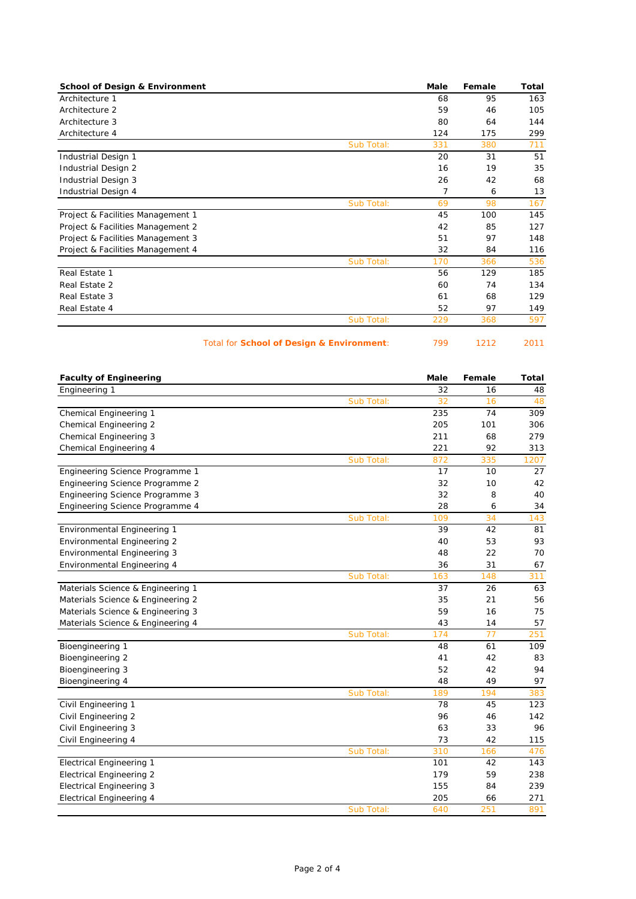| <b>School of Design &amp; Environment</b> | Male | Female | Total |
|-------------------------------------------|------|--------|-------|
| Architecture 1                            | 68   | 95     | 163   |
| Architecture 2                            | 59   | 46     | 105   |
| Architecture 3                            | 80   | 64     | 144   |
| Architecture 4                            | 124  | 175    | 299   |
| Sub Total:                                | 331  | 380    | 711   |
| Industrial Design 1                       | 20   | 31     | 51    |
| Industrial Design 2                       | 16   | 19     | 35    |
| Industrial Design 3                       | 26   | 42     | 68    |
| Industrial Design 4                       | 7    | 6      | 13    |
| Sub Total:                                | 69   | 98     | 167   |
| Project & Facilities Management 1         | 45   | 100    | 145   |
| Project & Facilities Management 2         | 42   | 85     | 127   |
| Project & Facilities Management 3         | 51   | 97     | 148   |
| Project & Facilities Management 4         | 32   | 84     | 116   |
| Sub Total:                                | 170  | 366    | 536   |
| Real Estate 1                             | 56   | 129    | 185   |
| Real Estate 2                             | 60   | 74     | 134   |
| Real Estate 3                             | 61   | 68     | 129   |
| Real Estate 4                             | 52   | 97     | 149   |
| Sub Total:                                | 229  | 368    | 597   |

Total for **School of Design & Environment**: 799 1212 2011

| <b>Faculty of Engineering</b>      |            | Male | Female | <b>Total</b> |
|------------------------------------|------------|------|--------|--------------|
| Engineering 1                      |            | 32   | 16     | 48           |
|                                    | Sub Total: | 32   | 16     | 48           |
| Chemical Engineering 1             |            | 235  | 74     | 309          |
| Chemical Engineering 2             |            | 205  | 101    | 306          |
| Chemical Engineering 3             |            | 211  | 68     | 279          |
| Chemical Engineering 4             |            | 221  | 92     | 313          |
|                                    | Sub Total: | 872  | 335    | 1207         |
| Engineering Science Programme 1    |            | 17   | 10     | 27           |
| Engineering Science Programme 2    |            | 32   | 10     | 42           |
| Engineering Science Programme 3    |            | 32   | 8      | 40           |
| Engineering Science Programme 4    |            | 28   | 6      | 34           |
|                                    | Sub Total: | 109  | 34     | 143          |
| Environmental Engineering 1        |            | 39   | 42     | 81           |
| Environmental Engineering 2        |            | 40   | 53     | 93           |
| <b>Environmental Engineering 3</b> |            | 48   | 22     | 70           |
| Environmental Engineering 4        |            | 36   | 31     | 67           |
|                                    | Sub Total: | 163  | 148    | 311          |
| Materials Science & Engineering 1  |            | 37   | 26     | 63           |
| Materials Science & Engineering 2  |            | 35   | 21     | 56           |
| Materials Science & Engineering 3  |            | 59   | 16     | 75           |
| Materials Science & Engineering 4  |            | 43   | 14     | 57           |
|                                    | Sub Total: | 174  | 77     | 251          |
| Bioengineering 1                   |            | 48   | 61     | 109          |
| Bioengineering 2                   |            | 41   | 42     | 83           |
| Bioengineering 3                   |            | 52   | 42     | 94           |
| Bioengineering 4                   |            | 48   | 49     | 97           |
|                                    | Sub Total: | 189  | 194    | 383          |
| Civil Engineering 1                |            | 78   | 45     | 123          |
| Civil Engineering 2                |            | 96   | 46     | 142          |
| Civil Engineering 3                |            | 63   | 33     | 96           |
| Civil Engineering 4                |            | 73   | 42     | 115          |
|                                    | Sub Total: | 310  | 166    | 476          |
| <b>Electrical Engineering 1</b>    |            | 101  | 42     | 143          |
| <b>Electrical Engineering 2</b>    |            | 179  | 59     | 238          |
| <b>Electrical Engineering 3</b>    |            | 155  | 84     | 239          |
| <b>Electrical Engineering 4</b>    |            | 205  | 66     | 271          |
|                                    | Sub Total: | 640  | 251    | 891          |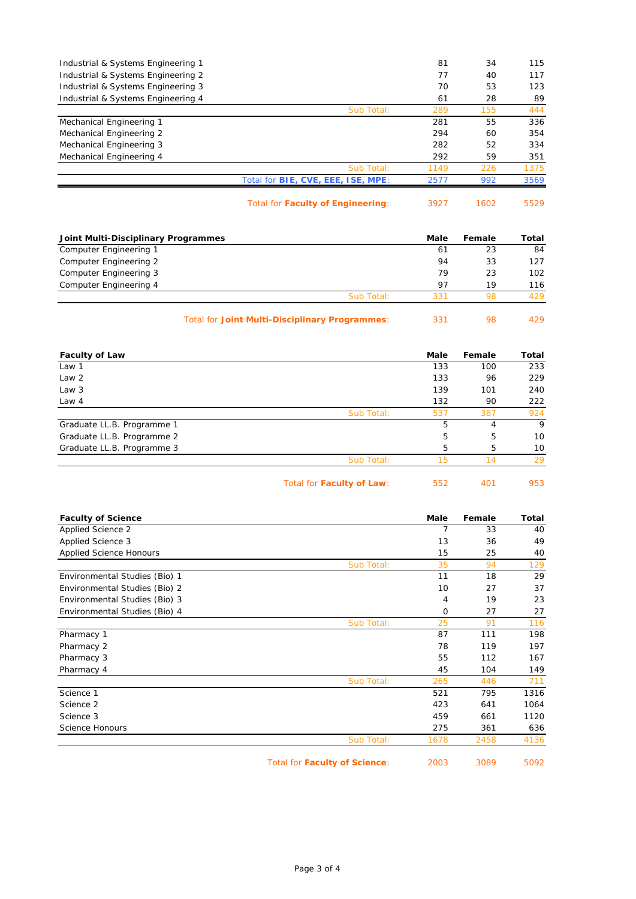|            | 2577                                      | 992 | 3569 |
|------------|-------------------------------------------|-----|------|
| Sub Total: | 1149                                      | 226 | 1375 |
|            | 292                                       | 59  | 351  |
|            | 282                                       | 52  | 334  |
|            | 294                                       | 60  | 354  |
|            | 281                                       | 55  | 336  |
| Sub Total: | 289                                       | 155 | 444  |
|            | 61                                        | 28  | 89   |
|            | 70                                        | 53  | 123  |
|            | 77                                        | 40  | 117  |
|            | 81                                        | 34  | 115  |
|            | Total for <b>BIE, CVE, EEE, ISE, MPE:</b> |     |      |

| Total for Faculty of Engineering: | 3927 | 160 |
|-----------------------------------|------|-----|
|-----------------------------------|------|-----|

| Joint Multi-Disciplinary Programmes |                                                       | Male | Female | Total |
|-------------------------------------|-------------------------------------------------------|------|--------|-------|
| Computer Engineering 1              |                                                       | 61   | 23     | 84    |
| Computer Engineering 2              |                                                       | 94   | 33     | 127   |
| Computer Engineering 3              |                                                       | 79   | 23     | 102   |
| Computer Engineering 4              |                                                       | 97   | 19     | 116   |
|                                     | Sub Total:                                            | 331  | 98     | 429   |
|                                     | <b>Total for Joint Multi-Disciplinary Programmes:</b> | 331  | 98     | 429   |

| <b>Faculty of Law</b>      |            | Male | Female | Total |
|----------------------------|------------|------|--------|-------|
| Law 1                      |            | 133  | 100    | 233   |
| Law <sub>2</sub>           |            | 133  | 96     | 229   |
| Law 3                      |            | 139  | 101    | 240   |
| Law 4                      |            | 132  | 90     | 222   |
|                            | Sub Total: | 537  | 387    | 924   |
| Graduate LL.B. Programme 1 |            | 5    | 4      | 9     |
| Graduate LL.B. Programme 2 |            | 5    | 5      | 10    |
| Graduate LL.B. Programme 3 |            | 5    | 5      | 10    |
|                            | Sub Total: | 15   | 14     | 29    |
|                            |            |      |        |       |

Total for **Faculty of Law**: 552 401 953

| <b>Faculty of Science</b>     |                               | Male | Female | Total |
|-------------------------------|-------------------------------|------|--------|-------|
| Applied Science 2             |                               | 7    | 33     | 40    |
| Applied Science 3             |                               | 13   | 36     | 49    |
| Applied Science Honours       |                               | 15   | 25     | 40    |
|                               | Sub Total:                    | 35   | 94     | 129   |
| Environmental Studies (Bio) 1 |                               | 11   | 18     | 29    |
| Environmental Studies (Bio) 2 |                               | 10   | 27     | 37    |
| Environmental Studies (Bio) 3 |                               | 4    | 19     | 23    |
| Environmental Studies (Bio) 4 |                               | 0    | 27     | 27    |
|                               | Sub Total:                    | 25   | 91     | 116   |
| Pharmacy 1                    |                               | 87   | 111    | 198   |
| Pharmacy 2                    |                               | 78   | 119    | 197   |
| Pharmacy 3                    |                               | 55   | 112    | 167   |
| Pharmacy 4                    |                               | 45   | 104    | 149   |
|                               | Sub Total:                    | 265  | 446    | 711   |
| Science 1                     |                               | 521  | 795    | 1316  |
| Science 2                     |                               | 423  | 641    | 1064  |
| Science 3                     |                               | 459  | 661    | 1120  |
| <b>Science Honours</b>        |                               | 275  | 361    | 636   |
|                               | Sub Total:                    | 1678 | 2458   | 4136  |
|                               | Total for Faculty of Science: | 2003 | 3089   | 5092  |